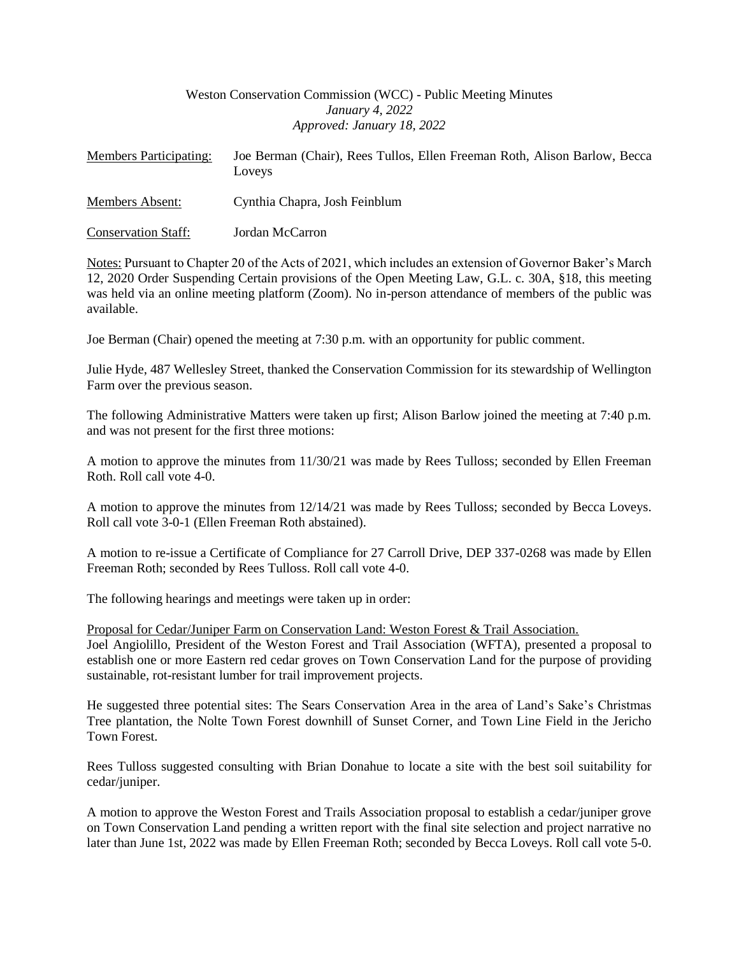# Weston Conservation Commission (WCC) - Public Meeting Minutes *January 4, 2022 Approved: January 18, 2022*

| <b>Members Participating:</b> | Joe Berman (Chair), Rees Tullos, Ellen Freeman Roth, Alison Barlow, Becca<br><b>Loveys</b> |
|-------------------------------|--------------------------------------------------------------------------------------------|
| Members Absent:               | Cynthia Chapra, Josh Feinblum                                                              |
| <b>Conservation Staff:</b>    | Jordan McCarron                                                                            |

Notes: Pursuant to Chapter 20 of the Acts of 2021, which includes an extension of Governor Baker's March 12, 2020 Order Suspending Certain provisions of the Open Meeting Law, G.L. c. 30A, §18, this meeting was held via an online meeting platform (Zoom). No in-person attendance of members of the public was available.

Joe Berman (Chair) opened the meeting at 7:30 p.m. with an opportunity for public comment.

Julie Hyde, 487 Wellesley Street, thanked the Conservation Commission for its stewardship of Wellington Farm over the previous season.

The following Administrative Matters were taken up first; Alison Barlow joined the meeting at 7:40 p.m. and was not present for the first three motions:

A motion to approve the minutes from 11/30/21 was made by Rees Tulloss; seconded by Ellen Freeman Roth. Roll call vote 4-0.

A motion to approve the minutes from 12/14/21 was made by Rees Tulloss; seconded by Becca Loveys. Roll call vote 3-0-1 (Ellen Freeman Roth abstained).

A motion to re-issue a Certificate of Compliance for 27 Carroll Drive, DEP 337-0268 was made by Ellen Freeman Roth; seconded by Rees Tulloss. Roll call vote 4-0.

The following hearings and meetings were taken up in order:

Proposal for Cedar/Juniper Farm on Conservation Land: Weston Forest & Trail Association.

Joel Angiolillo, President of the Weston Forest and Trail Association (WFTA), presented a proposal to establish one or more Eastern red cedar groves on Town Conservation Land for the purpose of providing sustainable, rot-resistant lumber for trail improvement projects.

He suggested three potential sites: The Sears Conservation Area in the area of Land's Sake's Christmas Tree plantation, the Nolte Town Forest downhill of Sunset Corner, and Town Line Field in the Jericho Town Forest.

Rees Tulloss suggested consulting with Brian Donahue to locate a site with the best soil suitability for cedar/juniper.

A motion to approve the Weston Forest and Trails Association proposal to establish a cedar/juniper grove on Town Conservation Land pending a written report with the final site selection and project narrative no later than June 1st, 2022 was made by Ellen Freeman Roth; seconded by Becca Loveys. Roll call vote 5-0.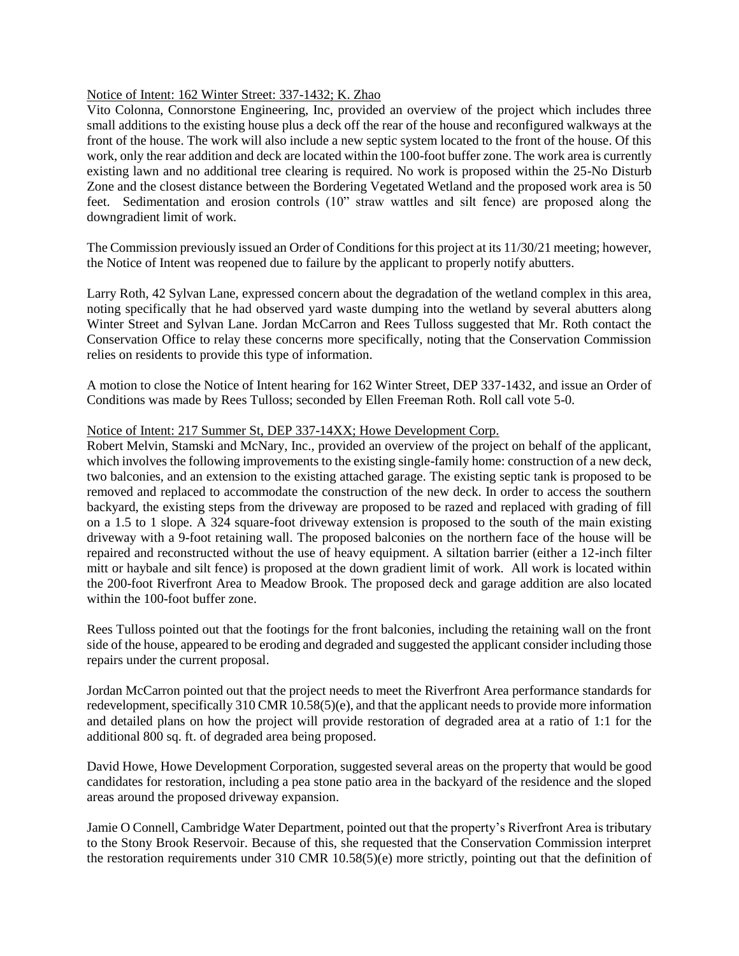## Notice of Intent: 162 Winter Street: 337-1432; K. Zhao

Vito Colonna, Connorstone Engineering, Inc, provided an overview of the project which includes three small additions to the existing house plus a deck off the rear of the house and reconfigured walkways at the front of the house. The work will also include a new septic system located to the front of the house. Of this work, only the rear addition and deck are located within the 100-foot buffer zone. The work area is currently existing lawn and no additional tree clearing is required. No work is proposed within the 25-No Disturb Zone and the closest distance between the Bordering Vegetated Wetland and the proposed work area is 50 feet. Sedimentation and erosion controls (10" straw wattles and silt fence) are proposed along the downgradient limit of work.

The Commission previously issued an Order of Conditions for this project at its 11/30/21 meeting; however, the Notice of Intent was reopened due to failure by the applicant to properly notify abutters.

Larry Roth, 42 Sylvan Lane, expressed concern about the degradation of the wetland complex in this area, noting specifically that he had observed yard waste dumping into the wetland by several abutters along Winter Street and Sylvan Lane. Jordan McCarron and Rees Tulloss suggested that Mr. Roth contact the Conservation Office to relay these concerns more specifically, noting that the Conservation Commission relies on residents to provide this type of information.

A motion to close the Notice of Intent hearing for 162 Winter Street, DEP 337-1432, and issue an Order of Conditions was made by Rees Tulloss; seconded by Ellen Freeman Roth. Roll call vote 5-0.

### Notice of Intent: 217 Summer St, DEP 337-14XX; Howe Development Corp.

Robert Melvin, Stamski and McNary, Inc., provided an overview of the project on behalf of the applicant, which involves the following improvements to the existing single-family home: construction of a new deck, two balconies, and an extension to the existing attached garage. The existing septic tank is proposed to be removed and replaced to accommodate the construction of the new deck. In order to access the southern backyard, the existing steps from the driveway are proposed to be razed and replaced with grading of fill on a 1.5 to 1 slope. A 324 square-foot driveway extension is proposed to the south of the main existing driveway with a 9-foot retaining wall. The proposed balconies on the northern face of the house will be repaired and reconstructed without the use of heavy equipment. A siltation barrier (either a 12-inch filter mitt or haybale and silt fence) is proposed at the down gradient limit of work. All work is located within the 200-foot Riverfront Area to Meadow Brook. The proposed deck and garage addition are also located within the 100-foot buffer zone.

Rees Tulloss pointed out that the footings for the front balconies, including the retaining wall on the front side of the house, appeared to be eroding and degraded and suggested the applicant consider including those repairs under the current proposal.

Jordan McCarron pointed out that the project needs to meet the Riverfront Area performance standards for redevelopment, specifically 310 CMR 10.58(5)(e), and that the applicant needs to provide more information and detailed plans on how the project will provide restoration of degraded area at a ratio of 1:1 for the additional 800 sq. ft. of degraded area being proposed.

David Howe, Howe Development Corporation, suggested several areas on the property that would be good candidates for restoration, including a pea stone patio area in the backyard of the residence and the sloped areas around the proposed driveway expansion.

Jamie O Connell, Cambridge Water Department, pointed out that the property's Riverfront Area is tributary to the Stony Brook Reservoir. Because of this, she requested that the Conservation Commission interpret the restoration requirements under 310 CMR 10.58(5)(e) more strictly, pointing out that the definition of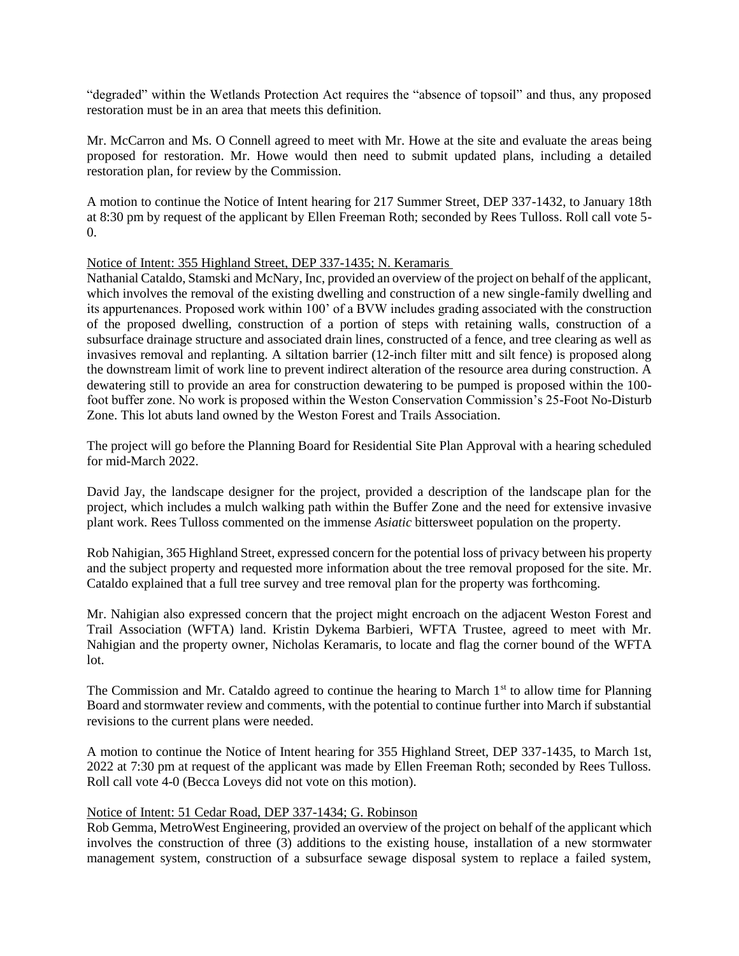"degraded" within the Wetlands Protection Act requires the "absence of topsoil" and thus, any proposed restoration must be in an area that meets this definition.

Mr. McCarron and Ms. O Connell agreed to meet with Mr. Howe at the site and evaluate the areas being proposed for restoration. Mr. Howe would then need to submit updated plans, including a detailed restoration plan, for review by the Commission.

A motion to continue the Notice of Intent hearing for 217 Summer Street, DEP 337-1432, to January 18th at 8:30 pm by request of the applicant by Ellen Freeman Roth; seconded by Rees Tulloss. Roll call vote 5- 0.

Notice of Intent: 355 Highland Street, DEP 337-1435; N. Keramaris

Nathanial Cataldo, Stamski and McNary, Inc, provided an overview of the project on behalf of the applicant, which involves the removal of the existing dwelling and construction of a new single-family dwelling and its appurtenances. Proposed work within 100' of a BVW includes grading associated with the construction of the proposed dwelling, construction of a portion of steps with retaining walls, construction of a subsurface drainage structure and associated drain lines, constructed of a fence, and tree clearing as well as invasives removal and replanting. A siltation barrier (12-inch filter mitt and silt fence) is proposed along the downstream limit of work line to prevent indirect alteration of the resource area during construction. A dewatering still to provide an area for construction dewatering to be pumped is proposed within the 100 foot buffer zone. No work is proposed within the Weston Conservation Commission's 25-Foot No-Disturb Zone. This lot abuts land owned by the Weston Forest and Trails Association.

The project will go before the Planning Board for Residential Site Plan Approval with a hearing scheduled for mid-March 2022.

David Jay, the landscape designer for the project, provided a description of the landscape plan for the project, which includes a mulch walking path within the Buffer Zone and the need for extensive invasive plant work. Rees Tulloss commented on the immense *Asiatic* bittersweet population on the property.

Rob Nahigian, 365 Highland Street, expressed concern for the potential loss of privacy between his property and the subject property and requested more information about the tree removal proposed for the site. Mr. Cataldo explained that a full tree survey and tree removal plan for the property was forthcoming.

Mr. Nahigian also expressed concern that the project might encroach on the adjacent Weston Forest and Trail Association (WFTA) land. Kristin Dykema Barbieri, WFTA Trustee, agreed to meet with Mr. Nahigian and the property owner, Nicholas Keramaris, to locate and flag the corner bound of the WFTA lot.

The Commission and Mr. Cataldo agreed to continue the hearing to March 1<sup>st</sup> to allow time for Planning Board and stormwater review and comments, with the potential to continue further into March if substantial revisions to the current plans were needed.

A motion to continue the Notice of Intent hearing for 355 Highland Street, DEP 337-1435, to March 1st, 2022 at 7:30 pm at request of the applicant was made by Ellen Freeman Roth; seconded by Rees Tulloss. Roll call vote 4-0 (Becca Loveys did not vote on this motion).

# Notice of Intent: 51 Cedar Road, DEP 337-1434; G. Robinson

Rob Gemma, MetroWest Engineering, provided an overview of the project on behalf of the applicant which involves the construction of three (3) additions to the existing house, installation of a new stormwater management system, construction of a subsurface sewage disposal system to replace a failed system,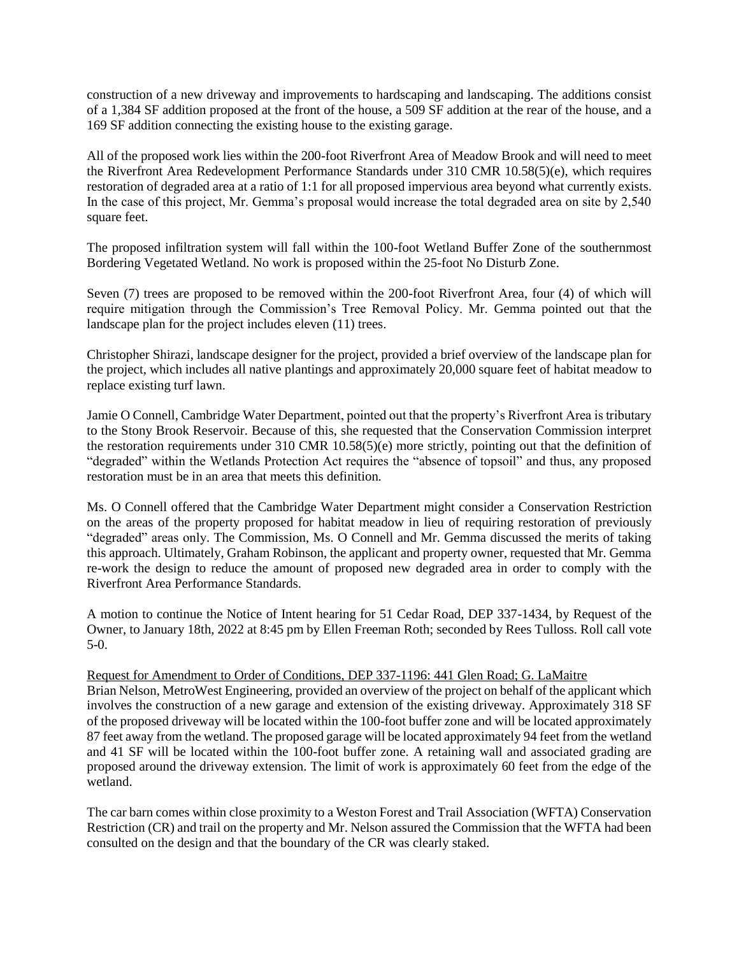construction of a new driveway and improvements to hardscaping and landscaping. The additions consist of a 1,384 SF addition proposed at the front of the house, a 509 SF addition at the rear of the house, and a 169 SF addition connecting the existing house to the existing garage.

All of the proposed work lies within the 200-foot Riverfront Area of Meadow Brook and will need to meet the Riverfront Area Redevelopment Performance Standards under 310 CMR 10.58(5)(e), which requires restoration of degraded area at a ratio of 1:1 for all proposed impervious area beyond what currently exists. In the case of this project, Mr. Gemma's proposal would increase the total degraded area on site by 2,540 square feet.

The proposed infiltration system will fall within the 100-foot Wetland Buffer Zone of the southernmost Bordering Vegetated Wetland. No work is proposed within the 25-foot No Disturb Zone.

Seven (7) trees are proposed to be removed within the 200-foot Riverfront Area, four (4) of which will require mitigation through the Commission's Tree Removal Policy. Mr. Gemma pointed out that the landscape plan for the project includes eleven (11) trees.

Christopher Shirazi, landscape designer for the project, provided a brief overview of the landscape plan for the project, which includes all native plantings and approximately 20,000 square feet of habitat meadow to replace existing turf lawn.

Jamie O Connell, Cambridge Water Department, pointed out that the property's Riverfront Area is tributary to the Stony Brook Reservoir. Because of this, she requested that the Conservation Commission interpret the restoration requirements under 310 CMR 10.58(5)(e) more strictly, pointing out that the definition of "degraded" within the Wetlands Protection Act requires the "absence of topsoil" and thus, any proposed restoration must be in an area that meets this definition.

Ms. O Connell offered that the Cambridge Water Department might consider a Conservation Restriction on the areas of the property proposed for habitat meadow in lieu of requiring restoration of previously "degraded" areas only. The Commission, Ms. O Connell and Mr. Gemma discussed the merits of taking this approach. Ultimately, Graham Robinson, the applicant and property owner, requested that Mr. Gemma re-work the design to reduce the amount of proposed new degraded area in order to comply with the Riverfront Area Performance Standards.

A motion to continue the Notice of Intent hearing for 51 Cedar Road, DEP 337-1434, by Request of the Owner, to January 18th, 2022 at 8:45 pm by Ellen Freeman Roth; seconded by Rees Tulloss. Roll call vote 5-0.

Request for Amendment to Order of Conditions, DEP 337-1196: 441 Glen Road; G. LaMaitre

Brian Nelson, MetroWest Engineering, provided an overview of the project on behalf of the applicant which involves the construction of a new garage and extension of the existing driveway. Approximately 318 SF of the proposed driveway will be located within the 100-foot buffer zone and will be located approximately 87 feet away from the wetland. The proposed garage will be located approximately 94 feet from the wetland and 41 SF will be located within the 100-foot buffer zone. A retaining wall and associated grading are proposed around the driveway extension. The limit of work is approximately 60 feet from the edge of the wetland.

The car barn comes within close proximity to a Weston Forest and Trail Association (WFTA) Conservation Restriction (CR) and trail on the property and Mr. Nelson assured the Commission that the WFTA had been consulted on the design and that the boundary of the CR was clearly staked.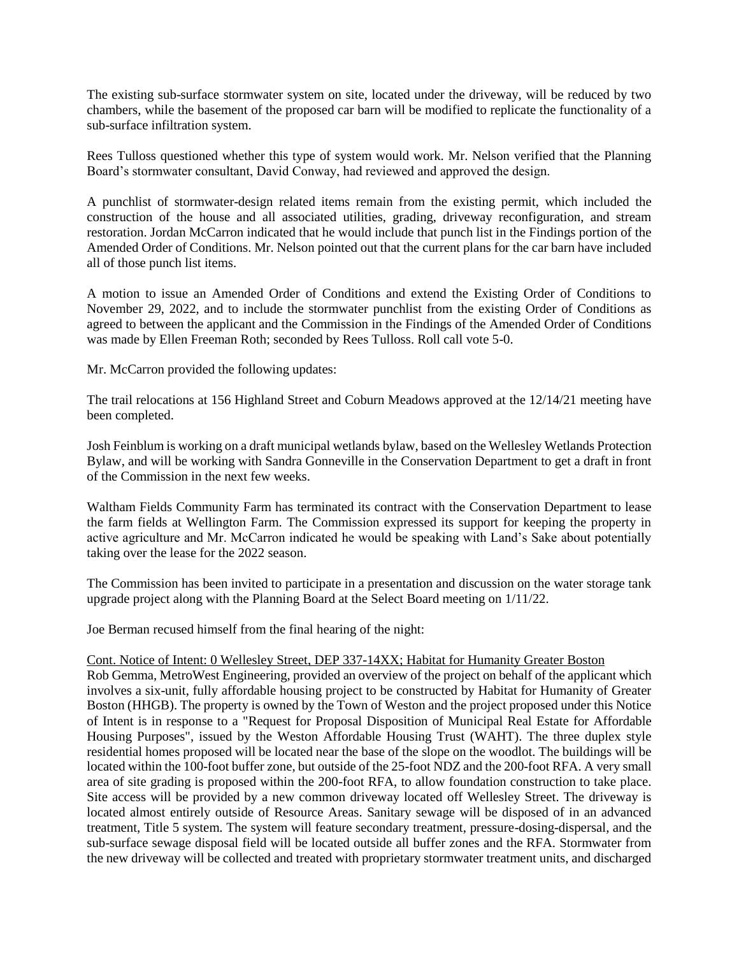The existing sub-surface stormwater system on site, located under the driveway, will be reduced by two chambers, while the basement of the proposed car barn will be modified to replicate the functionality of a sub-surface infiltration system.

Rees Tulloss questioned whether this type of system would work. Mr. Nelson verified that the Planning Board's stormwater consultant, David Conway, had reviewed and approved the design.

A punchlist of stormwater-design related items remain from the existing permit, which included the construction of the house and all associated utilities, grading, driveway reconfiguration, and stream restoration. Jordan McCarron indicated that he would include that punch list in the Findings portion of the Amended Order of Conditions. Mr. Nelson pointed out that the current plans for the car barn have included all of those punch list items.

A motion to issue an Amended Order of Conditions and extend the Existing Order of Conditions to November 29, 2022, and to include the stormwater punchlist from the existing Order of Conditions as agreed to between the applicant and the Commission in the Findings of the Amended Order of Conditions was made by Ellen Freeman Roth; seconded by Rees Tulloss. Roll call vote 5-0.

Mr. McCarron provided the following updates:

The trail relocations at 156 Highland Street and Coburn Meadows approved at the 12/14/21 meeting have been completed.

Josh Feinblum is working on a draft municipal wetlands bylaw, based on the Wellesley Wetlands Protection Bylaw, and will be working with Sandra Gonneville in the Conservation Department to get a draft in front of the Commission in the next few weeks.

Waltham Fields Community Farm has terminated its contract with the Conservation Department to lease the farm fields at Wellington Farm. The Commission expressed its support for keeping the property in active agriculture and Mr. McCarron indicated he would be speaking with Land's Sake about potentially taking over the lease for the 2022 season.

The Commission has been invited to participate in a presentation and discussion on the water storage tank upgrade project along with the Planning Board at the Select Board meeting on 1/11/22.

Joe Berman recused himself from the final hearing of the night:

#### Cont. Notice of Intent: 0 Wellesley Street, DEP 337-14XX; Habitat for Humanity Greater Boston

Rob Gemma, MetroWest Engineering, provided an overview of the project on behalf of the applicant which involves a six-unit, fully affordable housing project to be constructed by Habitat for Humanity of Greater Boston (HHGB). The property is owned by the Town of Weston and the project proposed under this Notice of Intent is in response to a "Request for Proposal Disposition of Municipal Real Estate for Affordable Housing Purposes", issued by the Weston Affordable Housing Trust (WAHT). The three duplex style residential homes proposed will be located near the base of the slope on the woodlot. The buildings will be located within the 100-foot buffer zone, but outside of the 25-foot NDZ and the 200-foot RFA. A very small area of site grading is proposed within the 200-foot RFA, to allow foundation construction to take place. Site access will be provided by a new common driveway located off Wellesley Street. The driveway is located almost entirely outside of Resource Areas. Sanitary sewage will be disposed of in an advanced treatment, Title 5 system. The system will feature secondary treatment, pressure-dosing-dispersal, and the sub-surface sewage disposal field will be located outside all buffer zones and the RFA. Stormwater from the new driveway will be collected and treated with proprietary stormwater treatment units, and discharged